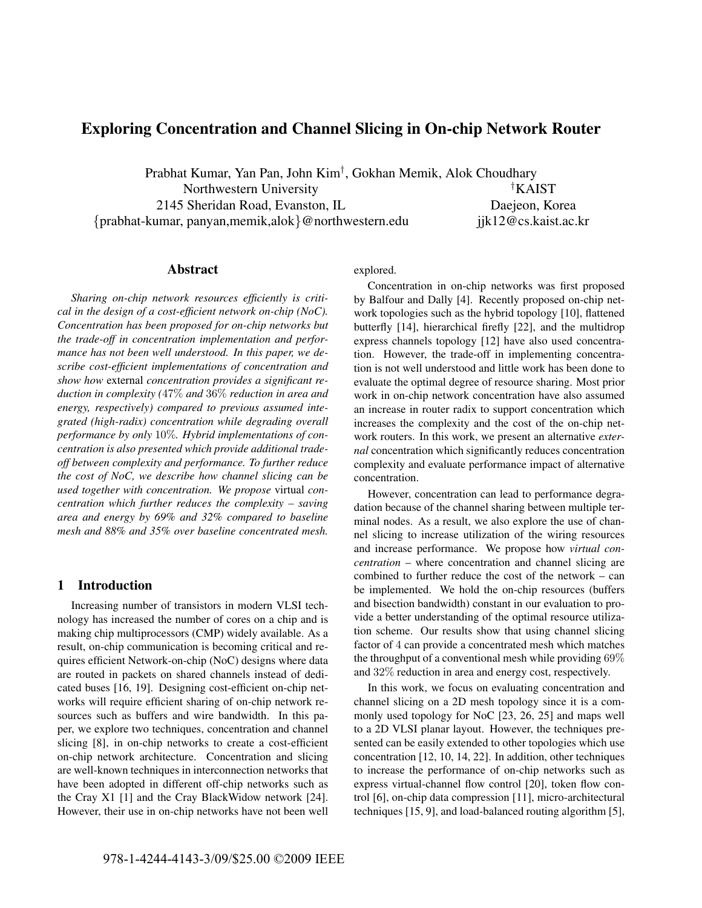# Exploring Concentration and Channel Slicing in On-chip Network Router

Prabhat Kumar, Yan Pan, John Kim† , Gokhan Memik, Alok Choudhary Northwestern University  $\dagger$ KAIST 2145 Sheridan Road, Evanston, IL Daejeon, Korea {prabhat-kumar, panyan,memik,alok}@northwestern.edu jjk12@cs.kaist.ac.kr

### Abstract

*Sharing on-chip network resources efficiently is critical in the design of a cost-efficient network on-chip (NoC). Concentration has been proposed for on-chip networks but the trade-off in concentration implementation and performance has not been well understood. In this paper, we describe cost-efficient implementations of concentration and show how* external *concentration provides a significant reduction in complexity (*47% *and* 36% *reduction in area and energy, respectively) compared to previous assumed integrated (high-radix) concentration while degrading overall performance by only* 10%*. Hybrid implementations of concentration is also presented which provide additional tradeoff between complexity and performance. To further reduce the cost of NoC, we describe how channel slicing can be used together with concentration. We propose* virtual *concentration which further reduces the complexity – saving area and energy by 69% and 32% compared to baseline mesh and 88% and 35% over baseline concentrated mesh.*

# 1 Introduction

Increasing number of transistors in modern VLSI technology has increased the number of cores on a chip and is making chip multiprocessors (CMP) widely available. As a result, on-chip communication is becoming critical and requires efficient Network-on-chip (NoC) designs where data are routed in packets on shared channels instead of dedicated buses [16, 19]. Designing cost-efficient on-chip networks will require efficient sharing of on-chip network resources such as buffers and wire bandwidth. In this paper, we explore two techniques, concentration and channel slicing [8], in on-chip networks to create a cost-efficient on-chip network architecture. Concentration and slicing are well-known techniques in interconnection networks that have been adopted in different off-chip networks such as the Cray X1 [1] and the Cray BlackWidow network [24]. However, their use in on-chip networks have not been well explored.

Concentration in on-chip networks was first proposed by Balfour and Dally [4]. Recently proposed on-chip network topologies such as the hybrid topology [10], flattened butterfly [14], hierarchical firefly [22], and the multidrop express channels topology [12] have also used concentration. However, the trade-off in implementing concentration is not well understood and little work has been done to evaluate the optimal degree of resource sharing. Most prior work in on-chip network concentration have also assumed an increase in router radix to support concentration which increases the complexity and the cost of the on-chip network routers. In this work, we present an alternative *external* concentration which significantly reduces concentration complexity and evaluate performance impact of alternative concentration.

However, concentration can lead to performance degradation because of the channel sharing between multiple terminal nodes. As a result, we also explore the use of channel slicing to increase utilization of the wiring resources and increase performance. We propose how *virtual concentration* – where concentration and channel slicing are combined to further reduce the cost of the network – can be implemented. We hold the on-chip resources (buffers and bisection bandwidth) constant in our evaluation to provide a better understanding of the optimal resource utilization scheme. Our results show that using channel slicing factor of 4 can provide a concentrated mesh which matches the throughput of a conventional mesh while providing 69% and 32% reduction in area and energy cost, respectively.

In this work, we focus on evaluating concentration and channel slicing on a 2D mesh topology since it is a commonly used topology for NoC [23, 26, 25] and maps well to a 2D VLSI planar layout. However, the techniques presented can be easily extended to other topologies which use concentration [12, 10, 14, 22]. In addition, other techniques to increase the performance of on-chip networks such as express virtual-channel flow control [20], token flow control [6], on-chip data compression [11], micro-architectural techniques [15, 9], and load-balanced routing algorithm [5],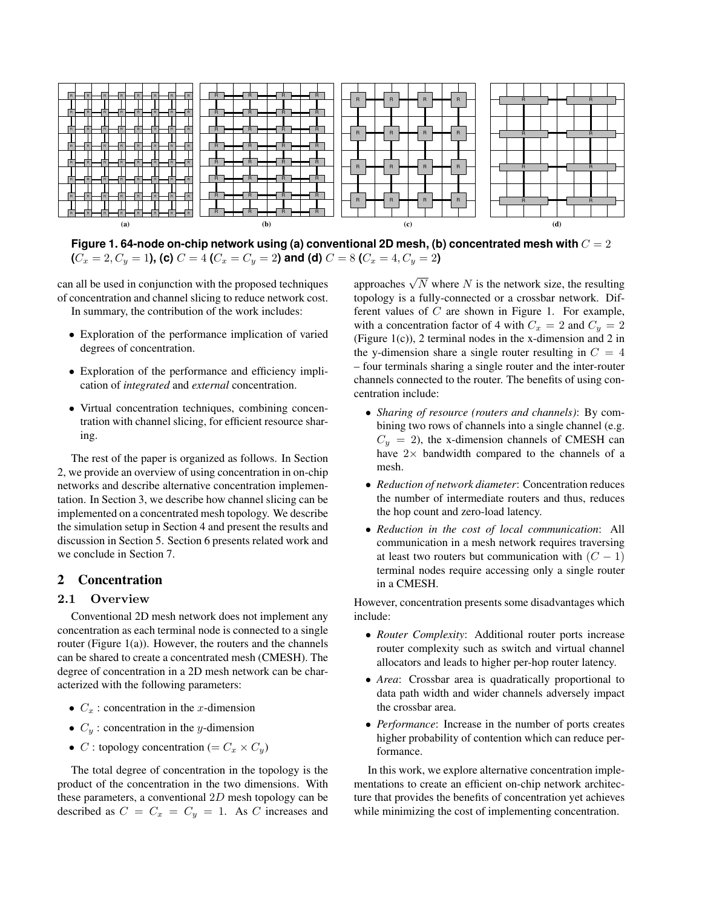

**Figure 1. 64-node on-chip network using (a) conventional 2D mesh, (b) concentrated mesh with** C = 2  $(C_x = 2, C_y = 1)$ , **(c)**  $C = 4$  **(** $C_x = C_y = 2)$  **and <b>(d)**  $C = 8$  **(** $C_x = 4, C_y = 2)$ 

can all be used in conjunction with the proposed techniques of concentration and channel slicing to reduce network cost. In summary, the contribution of the work includes:

- Exploration of the performance implication of varied degrees of concentration.
- Exploration of the performance and efficiency implication of *integrated* and *external* concentration.
- Virtual concentration techniques, combining concentration with channel slicing, for efficient resource sharing.

The rest of the paper is organized as follows. In Section 2, we provide an overview of using concentration in on-chip networks and describe alternative concentration implementation. In Section 3, we describe how channel slicing can be implemented on a concentrated mesh topology. We describe the simulation setup in Section 4 and present the results and discussion in Section 5. Section 6 presents related work and we conclude in Section 7.

# 2 Concentration

# 2.1 Overview

Conventional 2D mesh network does not implement any concentration as each terminal node is connected to a single router (Figure 1(a)). However, the routers and the channels can be shared to create a concentrated mesh (CMESH). The degree of concentration in a 2D mesh network can be characterized with the following parameters:

- $C_x$ : concentration in the x-dimension
- $C_y$ : concentration in the y-dimension
- C : topology concentration (=  $C_x \times C_y$ )

The total degree of concentration in the topology is the product of the concentration in the two dimensions. With these parameters, a conventional  $2D$  mesh topology can be described as  $C = C_x = C_y = 1$ . As C increases and

approaches  $\sqrt{N}$  where N is the network size, the resulting topology is a fully-connected or a crossbar network. Different values of  $C$  are shown in Figure 1. For example, with a concentration factor of 4 with  $C_x = 2$  and  $C_y = 2$ (Figure 1(c)), 2 terminal nodes in the x-dimension and 2 in the y-dimension share a single router resulting in  $C = 4$ – four terminals sharing a single router and the inter-router channels connected to the router. The benefits of using concentration include:

- *Sharing of resource (routers and channels)*: By combining two rows of channels into a single channel (e.g.  $C_y = 2$ ), the x-dimension channels of CMESH can have  $2\times$  bandwidth compared to the channels of a mesh.
- *Reduction of network diameter*: Concentration reduces the number of intermediate routers and thus, reduces the hop count and zero-load latency.
- *Reduction in the cost of local communication*: All communication in a mesh network requires traversing at least two routers but communication with  $(C - 1)$ terminal nodes require accessing only a single router in a CMESH.

However, concentration presents some disadvantages which include:

- *Router Complexity*: Additional router ports increase router complexity such as switch and virtual channel allocators and leads to higher per-hop router latency.
- *Area*: Crossbar area is quadratically proportional to data path width and wider channels adversely impact the crossbar area.
- *Performance*: Increase in the number of ports creates higher probability of contention which can reduce performance.

In this work, we explore alternative concentration implementations to create an efficient on-chip network architecture that provides the benefits of concentration yet achieves while minimizing the cost of implementing concentration.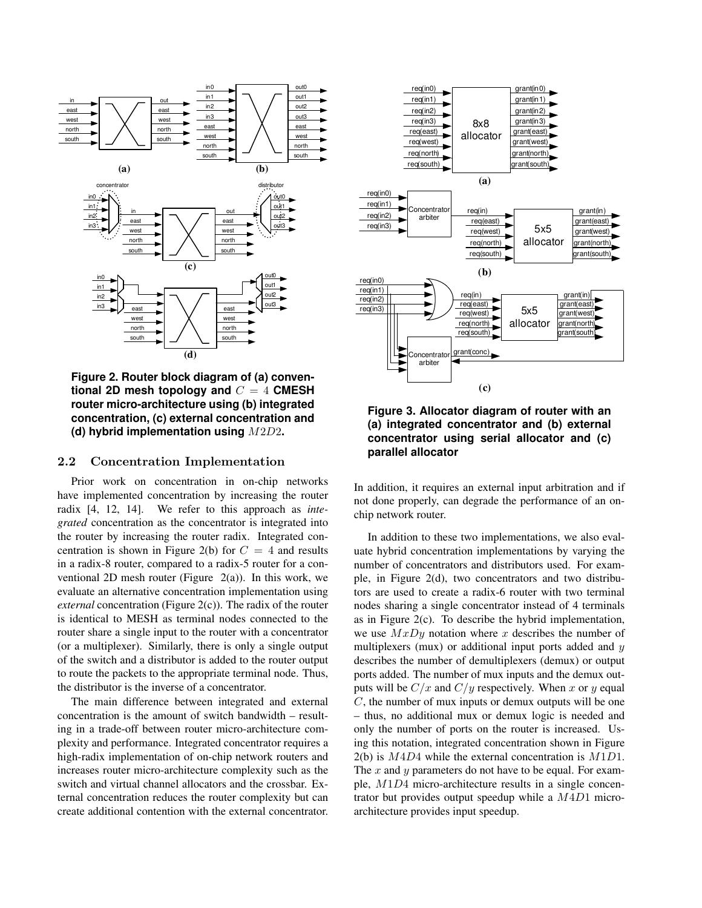

**Figure 2. Router block diagram of (a) conventional 2D mesh topology and** C = 4 **CMESH router micro-architecture using (b) integrated concentration, (c) external concentration and (d) hybrid implementation using** M2D2**.**

### 2.2 Concentration Implementation

Prior work on concentration in on-chip networks have implemented concentration by increasing the router radix [4, 12, 14]. We refer to this approach as *integrated* concentration as the concentrator is integrated into the router by increasing the router radix. Integrated concentration is shown in Figure 2(b) for  $C = 4$  and results in a radix-8 router, compared to a radix-5 router for a conventional 2D mesh router (Figure  $2(a)$ ). In this work, we evaluate an alternative concentration implementation using *external* concentration (Figure 2(c)). The radix of the router is identical to MESH as terminal nodes connected to the router share a single input to the router with a concentrator (or a multiplexer). Similarly, there is only a single output of the switch and a distributor is added to the router output to route the packets to the appropriate terminal node. Thus, the distributor is the inverse of a concentrator.

The main difference between integrated and external concentration is the amount of switch bandwidth – resulting in a trade-off between router micro-architecture complexity and performance. Integrated concentrator requires a high-radix implementation of on-chip network routers and increases router micro-architecture complexity such as the switch and virtual channel allocators and the crossbar. External concentration reduces the router complexity but can create additional contention with the external concentrator.



**Figure 3. Allocator diagram of router with an (a) integrated concentrator and (b) external concentrator using serial allocator and (c) parallel allocator**

In addition, it requires an external input arbitration and if not done properly, can degrade the performance of an onchip network router.

In addition to these two implementations, we also evaluate hybrid concentration implementations by varying the number of concentrators and distributors used. For example, in Figure 2(d), two concentrators and two distributors are used to create a radix-6 router with two terminal nodes sharing a single concentrator instead of 4 terminals as in Figure 2(c). To describe the hybrid implementation, we use  $MxDy$  notation where x describes the number of multiplexers (mux) or additional input ports added and  $y$ describes the number of demultiplexers (demux) or output ports added. The number of mux inputs and the demux outputs will be  $C/x$  and  $C/y$  respectively. When x or y equal C, the number of mux inputs or demux outputs will be one – thus, no additional mux or demux logic is needed and only the number of ports on the router is increased. Using this notation, integrated concentration shown in Figure  $2(b)$  is  $M4D4$  while the external concentration is  $M1D1$ . The  $x$  and  $y$  parameters do not have to be equal. For example, M1D4 micro-architecture results in a single concentrator but provides output speedup while a  $M4D1$  microarchitecture provides input speedup.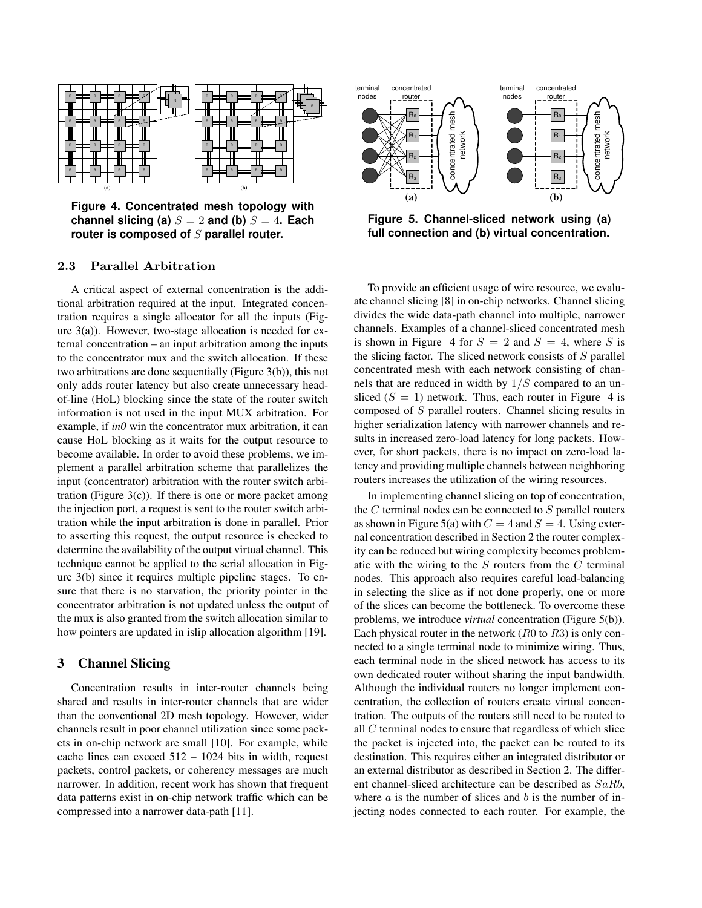

**Figure 4. Concentrated mesh topology with channel slicing (a)**  $S = 2$  **and (b)**  $S = 4$ **. Each router is composed of** S **parallel router.**

## 2.3 Parallel Arbitration

A critical aspect of external concentration is the additional arbitration required at the input. Integrated concentration requires a single allocator for all the inputs (Figure 3(a)). However, two-stage allocation is needed for external concentration – an input arbitration among the inputs to the concentrator mux and the switch allocation. If these two arbitrations are done sequentially (Figure 3(b)), this not only adds router latency but also create unnecessary headof-line (HoL) blocking since the state of the router switch information is not used in the input MUX arbitration. For example, if *in0* win the concentrator mux arbitration, it can cause HoL blocking as it waits for the output resource to become available. In order to avoid these problems, we implement a parallel arbitration scheme that parallelizes the input (concentrator) arbitration with the router switch arbitration (Figure  $3(c)$ ). If there is one or more packet among the injection port, a request is sent to the router switch arbitration while the input arbitration is done in parallel. Prior to asserting this request, the output resource is checked to determine the availability of the output virtual channel. This technique cannot be applied to the serial allocation in Figure 3(b) since it requires multiple pipeline stages. To ensure that there is no starvation, the priority pointer in the concentrator arbitration is not updated unless the output of the mux is also granted from the switch allocation similar to how pointers are updated in islip allocation algorithm [19].

# 3 Channel Slicing

Concentration results in inter-router channels being shared and results in inter-router channels that are wider than the conventional 2D mesh topology. However, wider channels result in poor channel utilization since some packets in on-chip network are small [10]. For example, while cache lines can exceed 512 – 1024 bits in width, request packets, control packets, or coherency messages are much narrower. In addition, recent work has shown that frequent data patterns exist in on-chip network traffic which can be compressed into a narrower data-path [11].



**Figure 5. Channel-sliced network using (a) full connection and (b) virtual concentration.**

To provide an efficient usage of wire resource, we evaluate channel slicing [8] in on-chip networks. Channel slicing divides the wide data-path channel into multiple, narrower channels. Examples of a channel-sliced concentrated mesh is shown in Figure 4 for  $S = 2$  and  $S = 4$ , where S is the slicing factor. The sliced network consists of  $S$  parallel concentrated mesh with each network consisting of channels that are reduced in width by  $1/S$  compared to an unsliced  $(S = 1)$  network. Thus, each router in Figure 4 is composed of S parallel routers. Channel slicing results in higher serialization latency with narrower channels and results in increased zero-load latency for long packets. However, for short packets, there is no impact on zero-load latency and providing multiple channels between neighboring routers increases the utilization of the wiring resources.

In implementing channel slicing on top of concentration, the  $C$  terminal nodes can be connected to  $S$  parallel routers as shown in Figure 5(a) with  $C = 4$  and  $S = 4$ . Using external concentration described in Section 2 the router complexity can be reduced but wiring complexity becomes problematic with the wiring to the  $S$  routers from the  $C$  terminal nodes. This approach also requires careful load-balancing in selecting the slice as if not done properly, one or more of the slices can become the bottleneck. To overcome these problems, we introduce *virtual* concentration (Figure 5(b)). Each physical router in the network  $(R0 \text{ to } R3)$  is only connected to a single terminal node to minimize wiring. Thus, each terminal node in the sliced network has access to its own dedicated router without sharing the input bandwidth. Although the individual routers no longer implement concentration, the collection of routers create virtual concentration. The outputs of the routers still need to be routed to all C terminal nodes to ensure that regardless of which slice the packet is injected into, the packet can be routed to its destination. This requires either an integrated distributor or an external distributor as described in Section 2. The different channel-sliced architecture can be described as SaRb, where  $a$  is the number of slices and  $b$  is the number of injecting nodes connected to each router. For example, the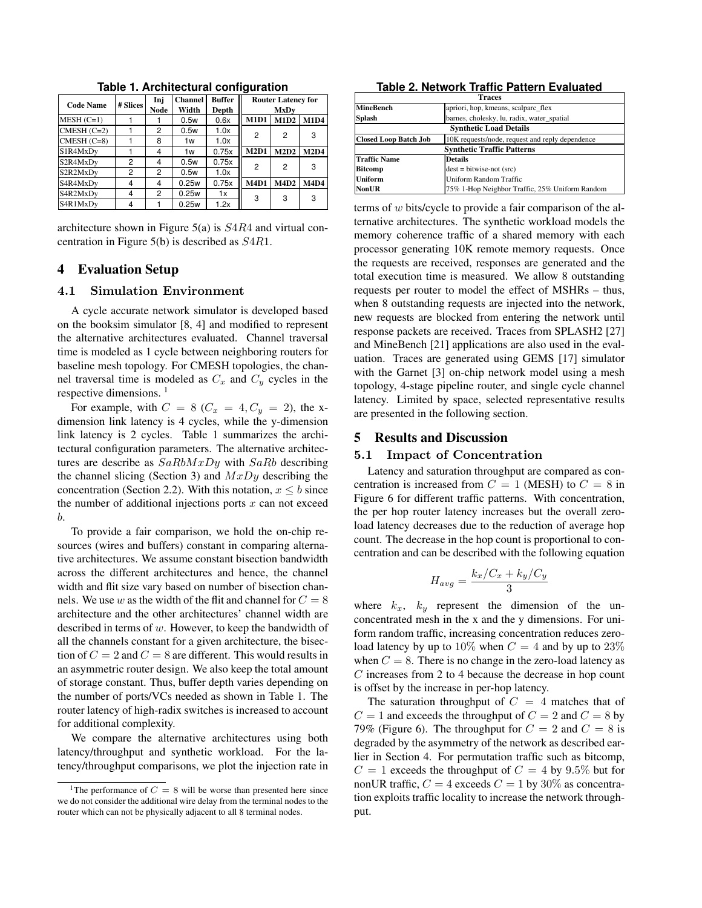| <b>Code Name</b> | # Slices | Inj         | <b>Channel</b> | <b>Buffer</b> | <b>Router Latency for</b> |             |             |
|------------------|----------|-------------|----------------|---------------|---------------------------|-------------|-------------|
|                  |          | <b>Node</b> | Width          | Depth         | MxDv                      |             |             |
| $MESH (C=1)$     |          |             | 0.5w           | 0.6x          | <b>M1D1</b>               | <b>M1D2</b> | <b>M1D4</b> |
| $CMESH (C=2)$    |          | 2           | 0.5w           | 1.0x          | 2                         | 2           | 3           |
| $CMESH (C=8)$    |          | 8           | 1w             | 1.0x          |                           |             |             |
| S1R4MxDy         |          | 4           | 1w             | 0.75x         | M2D1                      | M2D2        | <b>M2D4</b> |
| S2R4MxDv         | 2        | 4           | 0.5w           | 0.75x         | 2                         | 2           | 3           |
| S2R2MxDy         | 2        | 2           | 0.5w           | 1.0x          |                           |             |             |
| S4R4MxDv         | 4        | 4           | 0.25w          | 0.75x         | <b>M4D1</b>               | <b>M4D2</b> | <b>M4D4</b> |
| S4R2MxDy         | 4        | 2           | 0.25w          | 1x            | 3                         | 3           | 3           |
| S4R1MxDy         | 4        |             | 0.25w          | 1.2x          |                           |             |             |

**Table 1. Architectural configuration**

architecture shown in Figure 5(a) is S4R4 and virtual concentration in Figure 5(b) is described as S4R1.

# 4 Evaluation Setup

#### 4.1 Simulation Environment

A cycle accurate network simulator is developed based on the booksim simulator [8, 4] and modified to represent the alternative architectures evaluated. Channel traversal time is modeled as 1 cycle between neighboring routers for baseline mesh topology. For CMESH topologies, the channel traversal time is modeled as  $C_x$  and  $C_y$  cycles in the respective dimensions.<sup>1</sup>

For example, with  $C = 8$  ( $C_x = 4$ ,  $C_y = 2$ ), the xdimension link latency is 4 cycles, while the y-dimension link latency is 2 cycles. Table 1 summarizes the architectural configuration parameters. The alternative architectures are describe as  $SaRbMxDy$  with  $SaRb$  describing the channel slicing (Section 3) and  $MxDy$  describing the concentration (Section 2.2). With this notation,  $x \leq b$  since the number of additional injections ports  $x$  can not exceed b.

To provide a fair comparison, we hold the on-chip resources (wires and buffers) constant in comparing alternative architectures. We assume constant bisection bandwidth across the different architectures and hence, the channel width and flit size vary based on number of bisection channels. We use w as the width of the flit and channel for  $C = 8$ architecture and the other architectures' channel width are described in terms of w. However, to keep the bandwidth of all the channels constant for a given architecture, the bisection of  $C = 2$  and  $C = 8$  are different. This would results in an asymmetric router design. We also keep the total amount of storage constant. Thus, buffer depth varies depending on the number of ports/VCs needed as shown in Table 1. The router latency of high-radix switches is increased to account for additional complexity.

We compare the alternative architectures using both latency/throughput and synthetic workload. For the latency/throughput comparisons, we plot the injection rate in

**Table 2. Network Traffic Pattern Evaluated**

| <b>Traces</b>                     |                                                 |  |  |  |
|-----------------------------------|-------------------------------------------------|--|--|--|
| MineBench                         | apriori, hop, kmeans, scalparc_flex             |  |  |  |
| Splash                            | barnes, cholesky, lu, radix, water_spatial      |  |  |  |
| <b>Synthetic Load Details</b>     |                                                 |  |  |  |
| <b>Closed Loop Batch Job</b>      | 10K requests/node, request and reply dependence |  |  |  |
| <b>Synthetic Traffic Patterns</b> |                                                 |  |  |  |
| <b>Traffic Name</b>               | <b>Details</b>                                  |  |  |  |
| <b>Bitcomp</b>                    | $dest = bitwise-not (src)$                      |  |  |  |
| Uniform                           | <b>Uniform Random Traffic</b>                   |  |  |  |
| NonUR                             | 75% 1-Hop Neighbor Traffic, 25% Uniform Random  |  |  |  |

terms of w bits/cycle to provide a fair comparison of the alternative architectures. The synthetic workload models the memory coherence traffic of a shared memory with each processor generating 10K remote memory requests. Once the requests are received, responses are generated and the total execution time is measured. We allow 8 outstanding requests per router to model the effect of MSHRs – thus, when 8 outstanding requests are injected into the network, new requests are blocked from entering the network until response packets are received. Traces from SPLASH2 [27] and MineBench [21] applications are also used in the evaluation. Traces are generated using GEMS [17] simulator with the Garnet [3] on-chip network model using a mesh topology, 4-stage pipeline router, and single cycle channel latency. Limited by space, selected representative results are presented in the following section.

### 5 Results and Discussion

#### 5.1 Impact of Concentration

Latency and saturation throughput are compared as concentration is increased from  $C = 1$  (MESH) to  $C = 8$  in Figure 6 for different traffic patterns. With concentration, the per hop router latency increases but the overall zeroload latency decreases due to the reduction of average hop count. The decrease in the hop count is proportional to concentration and can be described with the following equation

$$
H_{avg} = \frac{k_x/C_x + k_y/C_y}{3}
$$

where  $k_x$ ,  $k_y$  represent the dimension of the unconcentrated mesh in the x and the y dimensions. For uniform random traffic, increasing concentration reduces zeroload latency by up to 10% when  $C = 4$  and by up to 23% when  $C = 8$ . There is no change in the zero-load latency as C increases from 2 to 4 because the decrease in hop count is offset by the increase in per-hop latency.

The saturation throughput of  $C = 4$  matches that of  $C = 1$  and exceeds the throughput of  $C = 2$  and  $C = 8$  by 79% (Figure 6). The throughput for  $C = 2$  and  $C = 8$  is degraded by the asymmetry of the network as described earlier in Section 4. For permutation traffic such as bitcomp,  $C = 1$  exceeds the throughput of  $C = 4$  by 9.5% but for nonUR traffic,  $C = 4$  exceeds  $C = 1$  by 30% as concentration exploits traffic locality to increase the network throughput.

<sup>&</sup>lt;sup>1</sup>The performance of  $C = 8$  will be worse than presented here since we do not consider the additional wire delay from the terminal nodes to the router which can not be physically adjacent to all 8 terminal nodes.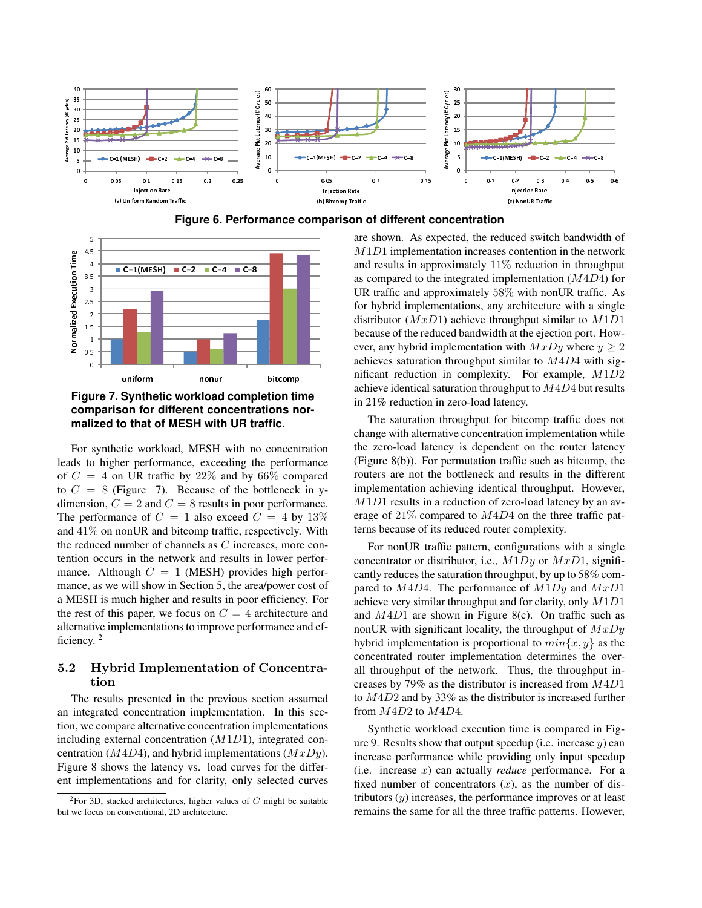





**Figure 7. Synthetic workload completion time comparison for different concentrations normalized to that of MESH with UR traffic.**

For synthetic workload, MESH with no concentration leads to higher performance, exceeding the performance of  $C = 4$  on UR traffic by 22% and by 66% compared to  $C = 8$  (Figure 7). Because of the bottleneck in ydimension,  $C = 2$  and  $C = 8$  results in poor performance. The performance of  $C = 1$  also exceed  $C = 4$  by  $13\%$ and 41% on nonUR and bitcomp traffic, respectively. With the reduced number of channels as C increases, more contention occurs in the network and results in lower performance. Although  $C = 1$  (MESH) provides high performance, as we will show in Section 5, the area/power cost of a MESH is much higher and results in poor efficiency. For the rest of this paper, we focus on  $C = 4$  architecture and alternative implementations to improve performance and efficiency.<sup>2</sup>

# 5.2 Hybrid Implementation of Concentration

The results presented in the previous section assumed an integrated concentration implementation. In this section, we compare alternative concentration implementations including external concentration  $(M1D1)$ , integrated concentration ( $M4D4$ ), and hybrid implementations ( $MxDy$ ). Figure 8 shows the latency vs. load curves for the different implementations and for clarity, only selected curves

are shown. As expected, the reduced switch bandwidth of M1D1 implementation increases contention in the network and results in approximately 11% reduction in throughput as compared to the integrated implementation (M4D4) for UR traffic and approximately 58% with nonUR traffic. As for hybrid implementations, any architecture with a single distributor  $(MxD1)$  achieve throughput similar to  $M1D1$ because of the reduced bandwidth at the ejection port. However, any hybrid implementation with  $MxDy$  where  $y \ge 2$ achieves saturation throughput similar to  $M4D4$  with significant reduction in complexity. For example, M1D2 achieve identical saturation throughput to  $M4D4$  but results in 21% reduction in zero-load latency.

The saturation throughput for bitcomp traffic does not change with alternative concentration implementation while the zero-load latency is dependent on the router latency (Figure 8(b)). For permutation traffic such as bitcomp, the routers are not the bottleneck and results in the different implementation achieving identical throughput. However, M<sub>1</sub>D<sub>1</sub> results in a reduction of zero-load latency by an average of 21% compared to M4D4 on the three traffic patterns because of its reduced router complexity.

For nonUR traffic pattern, configurations with a single concentrator or distributor, i.e.,  $M1Dy$  or  $MxD1$ , significantly reduces the saturation throughput, by up to 58% compared to  $M4D4$ . The performance of  $M1Dy$  and  $MxD1$ achieve very similar throughput and for clarity, only  $M1D1$ and  $M4D1$  are shown in Figure 8(c). On traffic such as nonUR with significant locality, the throughput of  $MxDy$ hybrid implementation is proportional to  $min\{x, y\}$  as the concentrated router implementation determines the overall throughput of the network. Thus, the throughput increases by 79% as the distributor is increased from M4D1 to M4D2 and by 33% as the distributor is increased further from M4D2 to M4D4.

Synthetic workload execution time is compared in Figure 9. Results show that output speedup (i.e. increase  $y$ ) can increase performance while providing only input speedup (i.e. increase x) can actually *reduce* performance. For a fixed number of concentrators  $(x)$ , as the number of distributors  $(y)$  increases, the performance improves or at least remains the same for all the three traffic patterns. However,

<sup>&</sup>lt;sup>2</sup>For 3D, stacked architectures, higher values of  $C$  might be suitable but we focus on conventional, 2D architecture.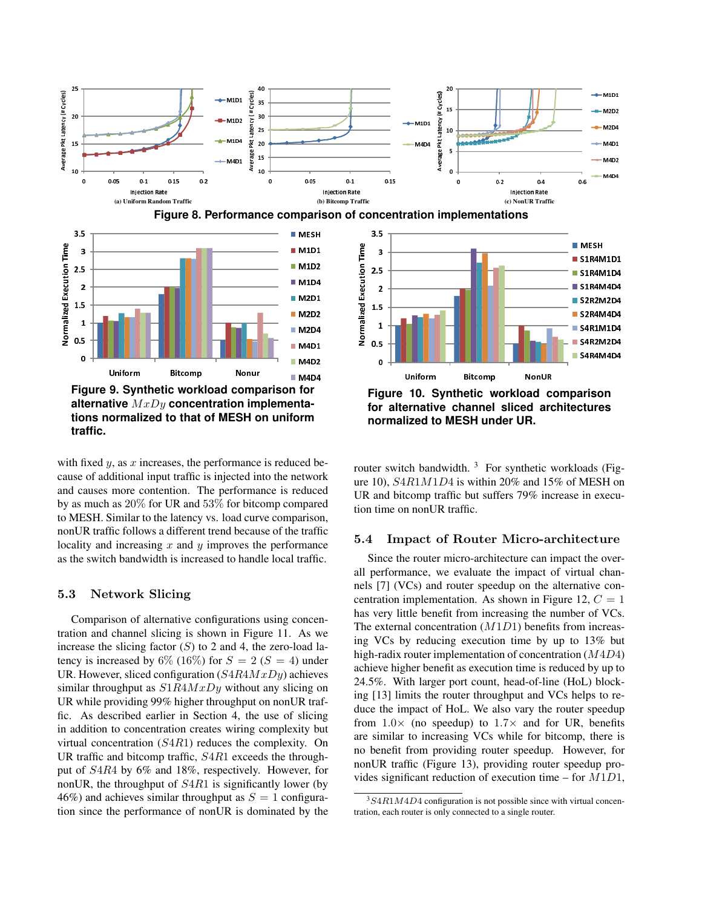





**Figure 9. Synthetic workload comparison for alternative** MxDy **concentration implementations normalized to that of MESH on uniform traffic.**



**Figure 10. Synthetic workload comparison for alternative channel sliced architectures normalized to MESH under UR.**

with fixed  $y$ , as  $x$  increases, the performance is reduced because of additional input traffic is injected into the network and causes more contention. The performance is reduced by as much as 20% for UR and 53% for bitcomp compared to MESH. Similar to the latency vs. load curve comparison, nonUR traffic follows a different trend because of the traffic locality and increasing  $x$  and  $y$  improves the performance as the switch bandwidth is increased to handle local traffic.

# 5.3 Network Slicing

Comparison of alternative configurations using concentration and channel slicing is shown in Figure 11. As we increase the slicing factor  $(S)$  to 2 and 4, the zero-load latency is increased by 6% (16%) for  $S = 2$  ( $S = 4$ ) under UR. However, sliced configuration  $(S4R4MxDy)$  achieves similar throughput as  $S1R4MxDy$  without any slicing on UR while providing 99% higher throughput on nonUR traffic. As described earlier in Section 4, the use of slicing in addition to concentration creates wiring complexity but virtual concentration (S4R1) reduces the complexity. On UR traffic and bitcomp traffic,  $S4R1$  exceeds the throughput of S4R4 by 6% and 18%, respectively. However, for nonUR, the throughput of  $S4R1$  is significantly lower (by 46%) and achieves similar throughput as  $S = 1$  configuration since the performance of nonUR is dominated by the router switch bandwidth.  $3$  For synthetic workloads (Figure 10), S4R1M1D4 is within 20% and 15% of MESH on UR and bitcomp traffic but suffers 79% increase in execution time on nonUR traffic.

### 5.4 Impact of Router Micro-architecture

Since the router micro-architecture can impact the overall performance, we evaluate the impact of virtual channels [7] (VCs) and router speedup on the alternative concentration implementation. As shown in Figure 12,  $C = 1$ has very little benefit from increasing the number of VCs. The external concentration  $(M1D1)$  benefits from increasing VCs by reducing execution time by up to 13% but high-radix router implementation of concentration  $(M4D4)$ achieve higher benefit as execution time is reduced by up to 24.5%. With larger port count, head-of-line (HoL) blocking [13] limits the router throughput and VCs helps to reduce the impact of HoL. We also vary the router speedup from  $1.0 \times$  (no speedup) to  $1.7 \times$  and for UR, benefits are similar to increasing VCs while for bitcomp, there is no benefit from providing router speedup. However, for nonUR traffic (Figure 13), providing router speedup provides significant reduction of execution time – for  $M1D1$ ,

 $3S4R1M4D4$  configuration is not possible since with virtual concentration, each router is only connected to a single router.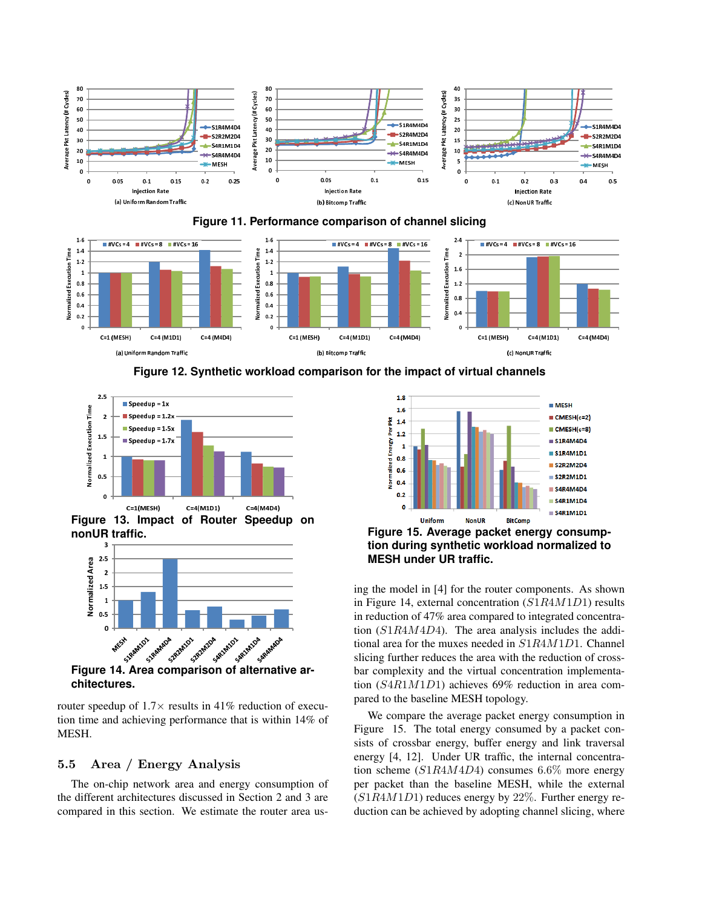





**Figure 12. Synthetic workload comparison for the impact of virtual channels**



 $C=1$ (MESH)  $C = 4(M1D1)$   $C = 4(M4D4)$ **Figure 13. Impact of Router Speedup on nonUR traffic.**



**chitectures.**

router speedup of  $1.7 \times$  results in 41% reduction of execution time and achieving performance that is within 14% of MESH.

# 5.5 Area / Energy Analysis

The on-chip network area and energy consumption of the different architectures discussed in Section 2 and 3 are compared in this section. We estimate the router area us-



**Figure 15. Average packet energy consumption during synthetic workload normalized to MESH under UR traffic.**

ing the model in [4] for the router components. As shown in Figure 14, external concentration (S1R4M1D1) results in reduction of 47% area compared to integrated concentration (S1R4M4D4). The area analysis includes the additional area for the muxes needed in S1R4M1D1. Channel slicing further reduces the area with the reduction of crossbar complexity and the virtual concentration implementation (S4R1M1D1) achieves 69% reduction in area compared to the baseline MESH topology.

We compare the average packet energy consumption in Figure 15. The total energy consumed by a packet consists of crossbar energy, buffer energy and link traversal energy [4, 12]. Under UR traffic, the internal concentration scheme ( $S1R4M4D4$ ) consumes 6.6% more energy per packet than the baseline MESH, while the external  $(S1R4M1D1)$  reduces energy by 22%. Further energy reduction can be achieved by adopting channel slicing, where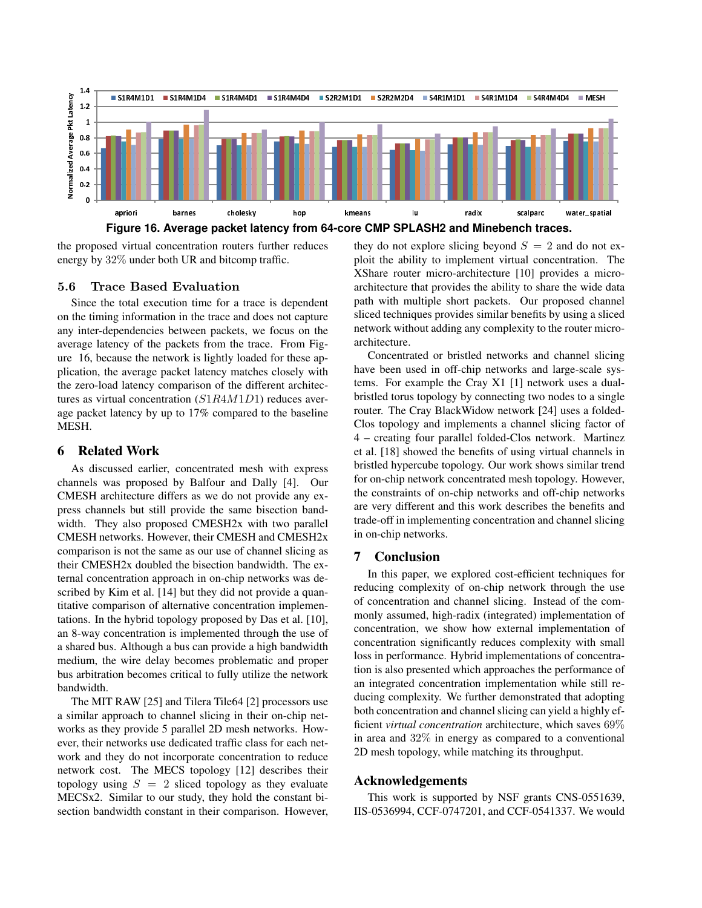

the proposed virtual concentration routers further reduces energy by 32% under both UR and bitcomp traffic.

## 5.6 Trace Based Evaluation

Since the total execution time for a trace is dependent on the timing information in the trace and does not capture any inter-dependencies between packets, we focus on the average latency of the packets from the trace. From Figure 16, because the network is lightly loaded for these application, the average packet latency matches closely with the zero-load latency comparison of the different architectures as virtual concentration (S1R4M1D1) reduces average packet latency by up to 17% compared to the baseline MESH.

### 6 Related Work

As discussed earlier, concentrated mesh with express channels was proposed by Balfour and Dally [4]. Our CMESH architecture differs as we do not provide any express channels but still provide the same bisection bandwidth. They also proposed CMESH2x with two parallel CMESH networks. However, their CMESH and CMESH2x comparison is not the same as our use of channel slicing as their CMESH2x doubled the bisection bandwidth. The external concentration approach in on-chip networks was described by Kim et al. [14] but they did not provide a quantitative comparison of alternative concentration implementations. In the hybrid topology proposed by Das et al. [10], an 8-way concentration is implemented through the use of a shared bus. Although a bus can provide a high bandwidth medium, the wire delay becomes problematic and proper bus arbitration becomes critical to fully utilize the network bandwidth.

The MIT RAW [25] and Tilera Tile64 [2] processors use a similar approach to channel slicing in their on-chip networks as they provide 5 parallel 2D mesh networks. However, their networks use dedicated traffic class for each network and they do not incorporate concentration to reduce network cost. The MECS topology [12] describes their topology using  $S = 2$  sliced topology as they evaluate MECSx2. Similar to our study, they hold the constant bisection bandwidth constant in their comparison. However, they do not explore slicing beyond  $S = 2$  and do not exploit the ability to implement virtual concentration. The XShare router micro-architecture [10] provides a microarchitecture that provides the ability to share the wide data path with multiple short packets. Our proposed channel sliced techniques provides similar benefits by using a sliced network without adding any complexity to the router microarchitecture.

Concentrated or bristled networks and channel slicing have been used in off-chip networks and large-scale systems. For example the Cray X1 [1] network uses a dualbristled torus topology by connecting two nodes to a single router. The Cray BlackWidow network [24] uses a folded-Clos topology and implements a channel slicing factor of 4 – creating four parallel folded-Clos network. Martinez et al. [18] showed the benefits of using virtual channels in bristled hypercube topology. Our work shows similar trend for on-chip network concentrated mesh topology. However, the constraints of on-chip networks and off-chip networks are very different and this work describes the benefits and trade-off in implementing concentration and channel slicing in on-chip networks.

# 7 Conclusion

In this paper, we explored cost-efficient techniques for reducing complexity of on-chip network through the use of concentration and channel slicing. Instead of the commonly assumed, high-radix (integrated) implementation of concentration, we show how external implementation of concentration significantly reduces complexity with small loss in performance. Hybrid implementations of concentration is also presented which approaches the performance of an integrated concentration implementation while still reducing complexity. We further demonstrated that adopting both concentration and channel slicing can yield a highly efficient *virtual concentration* architecture, which saves 69% in area and 32% in energy as compared to a conventional 2D mesh topology, while matching its throughput.

# Acknowledgements

This work is supported by NSF grants CNS-0551639, IIS-0536994, CCF-0747201, and CCF-0541337. We would